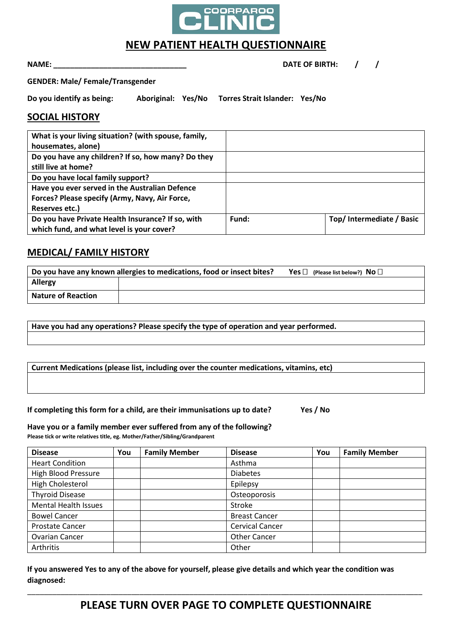

# **NEW PATIENT HEALTH QUESTIONNAIRE**

### **NAME: \_\_\_\_\_\_\_\_\_\_\_\_\_\_\_\_\_\_\_\_\_\_\_\_\_\_\_\_\_\_\_\_ DATE OF BIRTH: / /**

**GENDER: Male/ Female/Transgender**

**Do you identify as being: Aboriginal: Yes/No Torres Strait Islander: Yes/No**

### **SOCIAL HISTORY**

| What is your living situation? (with spouse, family, |       |                          |
|------------------------------------------------------|-------|--------------------------|
| housemates, alone)                                   |       |                          |
| Do you have any children? If so, how many? Do they   |       |                          |
| still live at home?                                  |       |                          |
| Do you have local family support?                    |       |                          |
| Have you ever served in the Australian Defence       |       |                          |
| Forces? Please specify (Army, Navy, Air Force,       |       |                          |
| Reserves etc.)                                       |       |                          |
| Do you have Private Health Insurance? If so, with    | Fund: | Top/Intermediate / Basic |
| which fund, and what level is your cover?            |       |                          |

# **MEDICAL/ FAMILY HISTORY**

|                           | Do you have any known allergies to medications, food or insect bites? | Yes $\Box$ (Please list below?) No $\Box$ |
|---------------------------|-----------------------------------------------------------------------|-------------------------------------------|
| Allergy                   |                                                                       |                                           |
| <b>Nature of Reaction</b> |                                                                       |                                           |

**Have you had any operations? Please specify the type of operation and year performed.**

### **Current Medications (please list, including over the counter medications, vitamins, etc)**

**If completing this form for a child, are their immunisations up to date? Yes / No**

**Have you or a family member ever suffered from any of the following?** 

**Please tick or write relatives title, eg. Mother/Father/Sibling/Grandparent**

| <b>Disease</b>              | You | <b>Family Member</b> | <b>Disease</b>         | You | <b>Family Member</b> |
|-----------------------------|-----|----------------------|------------------------|-----|----------------------|
| <b>Heart Condition</b>      |     |                      | Asthma                 |     |                      |
| <b>High Blood Pressure</b>  |     |                      | <b>Diabetes</b>        |     |                      |
| High Cholesterol            |     |                      | Epilepsy               |     |                      |
| <b>Thyroid Disease</b>      |     |                      | Osteoporosis           |     |                      |
| <b>Mental Health Issues</b> |     |                      | Stroke                 |     |                      |
| <b>Bowel Cancer</b>         |     |                      | <b>Breast Cancer</b>   |     |                      |
| <b>Prostate Cancer</b>      |     |                      | <b>Cervical Cancer</b> |     |                      |
| <b>Ovarian Cancer</b>       |     |                      | <b>Other Cancer</b>    |     |                      |
| Arthritis                   |     |                      | Other                  |     |                      |

**If you answered Yes to any of the above for yourself, please give details and which year the condition was diagnosed:**